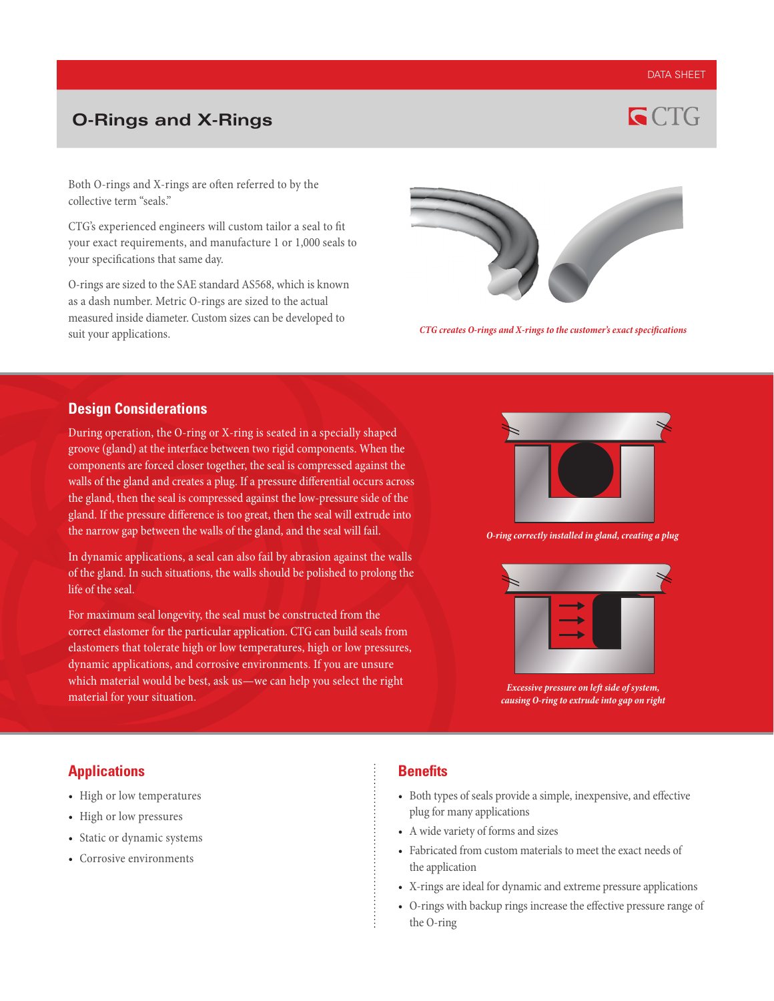#### DATA SHEET

# **O-Rings and X-Rings**



Both O-rings and X-rings are often referred to by the collective term "seals."

CTG's experienced engineers will custom tailor a seal to fit your exact requirements, and manufacture 1 or 1,000 seals to your specifications that same day.

O-rings are sized to the SAE standard AS568, which is known as a dash number. Metric O-rings are sized to the actual measured inside diameter. Custom sizes can be developed to suit your applications.



*CTG creates O-rings and X-rings to the customer's exact specifications*

#### **Design Considerations**

During operation, the O-ring or X-ring is seated in a specially shaped groove (gland) at the interface between two rigid components. When the components are forced closer together, the seal is compressed against the walls of the gland and creates a plug. If a pressure differential occurs across the gland, then the seal is compressed against the low-pressure side of the gland. If the pressure difference is too great, then the seal will extrude into the narrow gap between the walls of the gland, and the seal will fail.

In dynamic applications, a seal can also fail by abrasion against the walls of the gland. In such situations, the walls should be polished to prolong the life of the seal.

For maximum seal longevity, the seal must be constructed from the correct elastomer for the particular application. CTG can build seals from elastomers that tolerate high or low temperatures, high or low pressures, dynamic applications, and corrosive environments. If you are unsure which material would be best, ask us—we can help you select the right material for your situation.



*O-ring correctly installed in gland, creating a plug*



*Excessive pressure on left side of system, causing O-ring to extrude into gap on right*

### **Applications**

- High or low temperatures
- High or low pressures
- Static or dynamic systems
- Corrosive environments

### **Benefits**

- Both types of seals provide a simple, inexpensive, and effective plug for many applications
- A wide variety of forms and sizes
- Fabricated from custom materials to meet the exact needs of the application
- X-rings are ideal for dynamic and extreme pressure applications
- O-rings with backup rings increase the effective pressure range of the O-ring